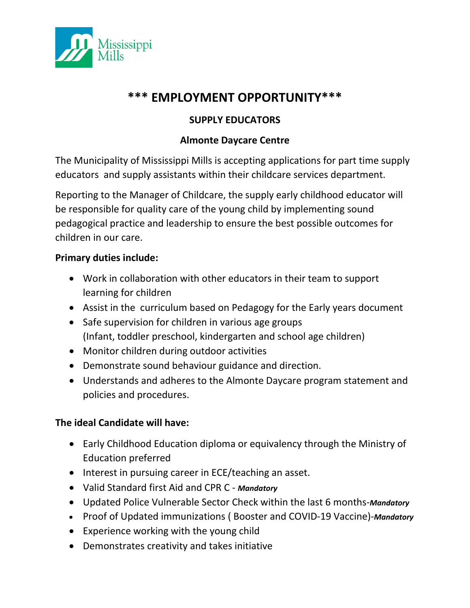

# **\*\*\* EMPLOYMENT OPPORTUNITY\*\*\***

## **SUPPLY EDUCATORS**

### **Almonte Daycare Centre**

The Municipality of Mississippi Mills is accepting applications for part time supply educators and supply assistants within their childcare services department.

Reporting to the Manager of Childcare, the supply early childhood educator will be responsible for quality care of the young child by implementing sound pedagogical practice and leadership to ensure the best possible outcomes for children in our care.

#### **Primary duties include:**

- Work in collaboration with other educators in their team to support learning for children
- Assist in the curriculum based on Pedagogy for the Early years document
- Safe supervision for children in various age groups (Infant, toddler preschool, kindergarten and school age children)
- Monitor children during outdoor activities
- Demonstrate sound behaviour guidance and direction.
- Understands and adheres to the Almonte Daycare program statement and policies and procedures.

### **The ideal Candidate will have:**

- Early Childhood Education diploma or equivalency through the Ministry of Education preferred
- Interest in pursuing career in ECE/teaching an asset.
- Valid Standard first Aid and CPR C *- Mandatory*
- Updated Police Vulnerable Sector Check within the last 6 months-*Mandatory*
- Proof of Updated immunizations ( Booster and COVID-19 Vaccine)-*Mandatory*
- Experience working with the young child
- Demonstrates creativity and takes initiative